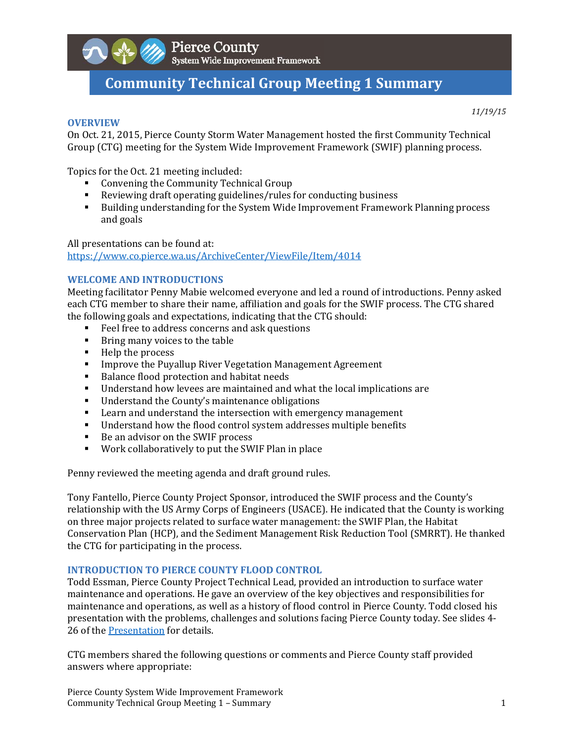

# **Community Technical Group Meeting 1 Summary**

#### **OVERVIEW**

*11/19/15*

On Oct. 21, 2015, Pierce County Storm Water Management hosted the first Community Technical Group (CTG) meeting for the System Wide Improvement Framework (SWIF) planning process.

Topics for the Oct. 21 meeting included:

- Convening the Community Technical Group
- Reviewing draft operating guidelines/rules for conducting business
- **Building understanding for the System Wide Improvement Framework Planning process** and goals

All presentations can be found at: https://www.co.pierce.wa.us/ArchiveCenter/ViewFile/Item/4014 

### **WELCOME AND INTRODUCTIONS**

Meeting facilitator Penny Mabie welcomed everyone and led a round of introductions. Penny asked each CTG member to share their name, affiliation and goals for the SWIF process. The CTG shared the following goals and expectations, indicating that the CTG should:

- Feel free to address concerns and ask questions
- **Bring many voices to the table**
- $\blacksquare$  Help the process
- **Improve the Puyallup River Vegetation Management Agreement**
- Balance flood protection and habitat needs
- Understand how levees are maintained and what the local implications are
- Understand the County's maintenance obligations
- **EXECT** Learn and understand the intersection with emergency management
- Understand how the flood control system addresses multiple benefits
- Be an advisor on the SWIF process
- Work collaboratively to put the SWIF Plan in place

Penny reviewed the meeting agenda and draft ground rules.

Tony Fantello, Pierce County Project Sponsor, introduced the SWIF process and the County's relationship with the US Army Corps of Engineers (USACE). He indicated that the County is working on three major projects related to surface water management: the SWIF Plan, the Habitat Conservation Plan (HCP), and the Sediment Management Risk Reduction Tool (SMRRT). He thanked the CTG for participating in the process.

### **INTRODUCTION TO PIERCE COUNTY FLOOD CONTROL**

Todd Essman, Pierce County Project Technical Lead, provided an introduction to surface water maintenance and operations. He gave an overview of the key objectives and responsibilities for maintenance and operations, as well as a history of flood control in Pierce County. Todd closed his presentation with the problems, challenges and solutions facing Pierce County today. See slides 4-26 of the Presentation for details.

CTG members shared the following questions or comments and Pierce County staff provided answers where appropriate:

Pierce County System Wide Improvement Framework Community Technical Group Meeting 1 – Summary **1** and the state of the state of the state of the state of the state of the state of the state of the state of the state of the state of the state of the state of the state of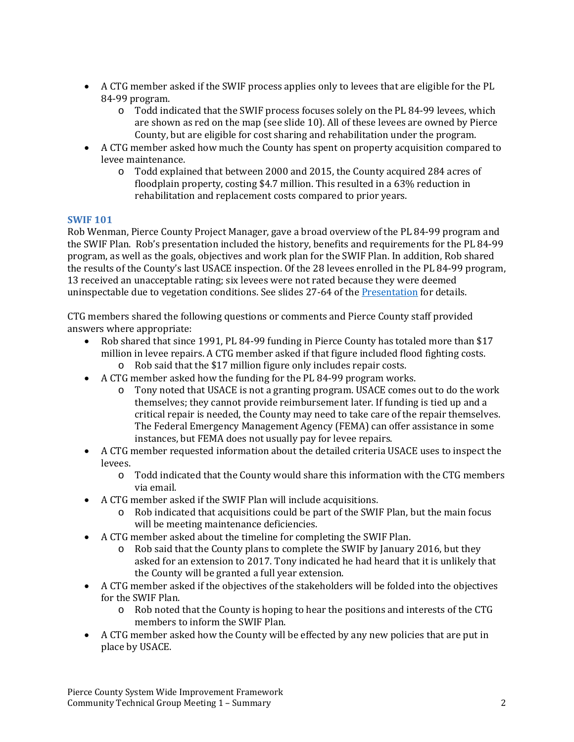- A CTG member asked if the SWIF process applies only to levees that are eligible for the PL 84‐99 program.
	- $\circ$  Todd indicated that the SWIF process focuses solely on the PL 84-99 levees, which are shown as red on the map (see slide 10). All of these levees are owned by Pierce County, but are eligible for cost sharing and rehabilitation under the program.
- A CTG member asked how much the County has spent on property acquisition compared to levee maintenance.
	- $\circ$  Todd explained that between 2000 and 2015, the County acquired 284 acres of floodplain property, costing \$4.7 million. This resulted in a  $63\%$  reduction in rehabilitation and replacement costs compared to prior years.

## **SWIF 101**

Rob Wenman, Pierce County Project Manager, gave a broad overview of the PL 84-99 program and the SWIF Plan. Rob's presentation included the history, benefits and requirements for the PL 84-99 program, as well as the goals, objectives and work plan for the SWIF Plan. In addition, Rob shared the results of the County's last USACE inspection. Of the 28 levees enrolled in the PL 84-99 program, 13 received an unacceptable rating; six levees were not rated because they were deemed uninspectable due to vegetation conditions. See slides 27-64 of the Presentation for details.

CTG members shared the following questions or comments and Pierce County staff provided answers where appropriate:

- Rob shared that since 1991, PL 84-99 funding in Pierce County has totaled more than \$17 million in levee repairs. A CTG member asked if that figure included flood fighting costs.
	- o Rob said that the \$17 million figure only includes repair costs.
- A CTG member asked how the funding for the PL 84-99 program works.
	- $\circ$  Tony noted that USACE is not a granting program. USACE comes out to do the work themselves; they cannot provide reimbursement later. If funding is tied up and a critical repair is needed, the County may need to take care of the repair themselves. The Federal Emergency Management Agency (FEMA) can offer assistance in some instances, but FEMA does not usually pay for levee repairs.
- A CTG member requested information about the detailed criteria USACE uses to inspect the levees.
	- $\circ$  Todd indicated that the County would share this information with the CTG members via email.
- A CTG member asked if the SWIF Plan will include acquisitions.
	- o Rob indicated that acquisitions could be part of the SWIF Plan, but the main focus will be meeting maintenance deficiencies.
- A CTG member asked about the timeline for completing the SWIF Plan.
	- $\circ$  Rob said that the County plans to complete the SWIF by January 2016, but they asked for an extension to 2017. Tony indicated he had heard that it is unlikely that the County will be granted a full year extension.
- A CTG member asked if the objectives of the stakeholders will be folded into the objectives for the SWIF Plan.
	- $\circ$  Rob noted that the County is hoping to hear the positions and interests of the CTG members to inform the SWIF Plan.
- A CTG member asked how the County will be effected by any new policies that are put in place by USACE.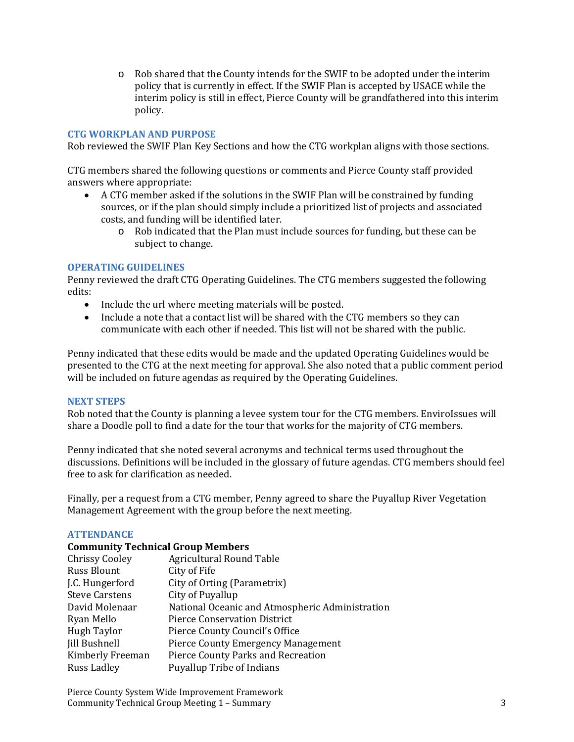$\circ$  Rob shared that the County intends for the SWIF to be adopted under the interim policy that is currently in effect. If the SWIF Plan is accepted by USACE while the interim policy is still in effect, Pierce County will be grandfathered into this interim policy. 

## **CTG WORKPLAN AND PURPOSE**

Rob reviewed the SWIF Plan Key Sections and how the CTG workplan aligns with those sections.

CTG members shared the following questions or comments and Pierce County staff provided answers where appropriate:

- A CTG member asked if the solutions in the SWIF Plan will be constrained by funding sources, or if the plan should simply include a prioritized list of projects and associated costs, and funding will be identified later.
	- o Rob indicated that the Plan must include sources for funding, but these can be subject to change.

## **OPERATING GUIDELINES**

Penny reviewed the draft CTG Operating Guidelines. The CTG members suggested the following edits: 

- Include the url where meeting materials will be posted.
- Include a note that a contact list will be shared with the CTG members so they can communicate with each other if needed. This list will not be shared with the public.

Penny indicated that these edits would be made and the updated Operating Guidelines would be presented to the CTG at the next meeting for approval. She also noted that a public comment period will be included on future agendas as required by the Operating Guidelines.

## **NEXT STEPS**

Rob noted that the County is planning a levee system tour for the CTG members. EnviroIssues will share a Doodle poll to find a date for the tour that works for the majority of CTG members.

Penny indicated that she noted several acronyms and technical terms used throughout the discussions. Definitions will be included in the glossary of future agendas. CTG members should feel free to ask for clarification as needed.

Finally, per a request from a CTG member, Penny agreed to share the Puyallup River Vegetation Management Agreement with the group before the next meeting.

### **ATTENDANCE**

## **Community Technical Group Members**

| <b>Chrissy Cooley</b> | <b>Agricultural Round Table</b>                 |
|-----------------------|-------------------------------------------------|
| <b>Russ Blount</b>    | City of Fife                                    |
| J.C. Hungerford       | City of Orting (Parametrix)                     |
| <b>Steve Carstens</b> | City of Puyallup                                |
| David Molenaar        | National Oceanic and Atmospheric Administration |
| Ryan Mello            | <b>Pierce Conservation District</b>             |
| <b>Hugh Taylor</b>    | Pierce County Council's Office                  |
| <b>Jill Bushnell</b>  | <b>Pierce County Emergency Management</b>       |
| Kimberly Freeman      | Pierce County Parks and Recreation              |
| Russ Ladley           | <b>Puyallup Tribe of Indians</b>                |
|                       |                                                 |

Pierce County System Wide Improvement Framework Community Technical Group Meeting 1 – Summary **3** 3